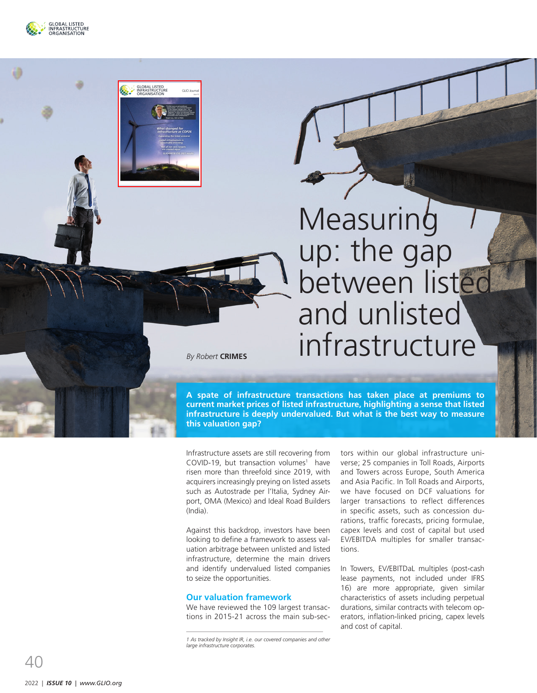

GLOBAL LISTED

.<br>GUO louma

# **Measuring** up: the gap between listed and unlisted infrastructure

*By Robert* **CRIMES**

**A spate of infrastructure transactions has taken place at premiums to current market prices of listed infrastructure, highlighting a sense that listed infrastructure is deeply undervalued. But what is the best way to measure this valuation gap?** 

Infrastructure assets are still recovering from COVID-19, but transaction volumes 1 have risen more than threefold since 2019, with acquirers increasingly preying on listed assets such as Autostrade per l'Italia, Sydney Air port, OMA (Mexico) and Ideal Road Builders (India).

Against this backdrop, investors have been looking to define a framework to assess val uation arbitrage between unlisted and listed infrastructure, determine the main drivers and identify undervalued listed companies to seize the opportunities.

# **Our valuation framework**

We have reviewed the 109 largest transac tions in 2015-21 across the main sub-sec -

*1 As tracked by Insight IR, i.e. our covered companies and other large infrastructure corporates.*

tors within our global infrastructure uni verse; 25 companies in Toll Roads, Airports and Towers across Europe, South America and Asia Pacific. In Toll Roads and Airports, we have focused on DCF valuations for larger transactions to reflect differences in specific assets, such as concession du rations, traffic forecasts, pricing formulae, capex levels and cost of capital but used EV/EBITDA multiples for smaller transac tions.

In Towers, EV/EBITDaL multiples (post-cash lease payments, not included under IFRS 16) are more appropriate, given similar characteristics of assets including perpetual durations, similar contracts with telecom op erators, inflation-linked pricing, capex levels and cost of capital.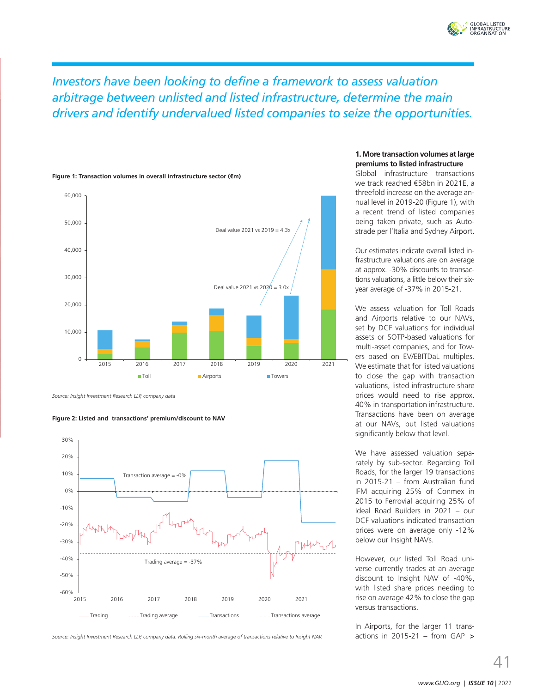

*Investors have been looking to define a framework to assess valuation arbitrage between unlisted and listed infrastructure, determine the main drivers and identify undervalued listed companies to seize the opportunities.*



**Figure 1: Transaction volumes in overall infrastructure sector (€m)**

*Source: Insight Investment Research LLP, company data*





*Source: Insight Investment Research LLP, company data. Rolling six-month average of transactions relative to Insight NAV.*

### **1. More transaction volumes at large premiums to listed infrastructure**

Global infrastructure transactions we track reached €58bn in 2021E, a threefold increase on the average annual level in 2019-20 (Figure 1), with a recent trend of listed companies being taken private, such as Autostrade per l'Italia and Sydney Airport.

Our estimates indicate overall listed infrastructure valuations are on average at approx. -30% discounts to transactions valuations, a little below their sixyear average of -37% in 2015-21.

We assess valuation for Toll Roads and Airports relative to our NAVs, set by DCF valuations for individual assets or SOTP-based valuations for multi-asset companies, and for Towers based on EV/EBITDaL multiples. We estimate that for listed valuations to close the gap with transaction valuations, listed infrastructure share prices would need to rise approx. 40% in transportation infrastructure. Transactions have been on average at our NAVs, but listed valuations significantly below that level.

We have assessed valuation separately by sub-sector. Regarding Toll Roads, for the larger 19 transactions in 2015-21 – from Australian fund IFM acquiring 25% of Conmex in 2015 to Ferrovial acquiring 25% of Ideal Road Builders in 2021 – our DCF valuations indicated transaction prices were on average only -12% below our Insight NAVs.

However, our listed Toll Road universe currently trades at an average discount to Insight NAV of -40%, with listed share prices needing to rise on average 42% to close the gap versus transactions.

In Airports, for the larger 11 transactions in 2015-21 – from GAP  $>$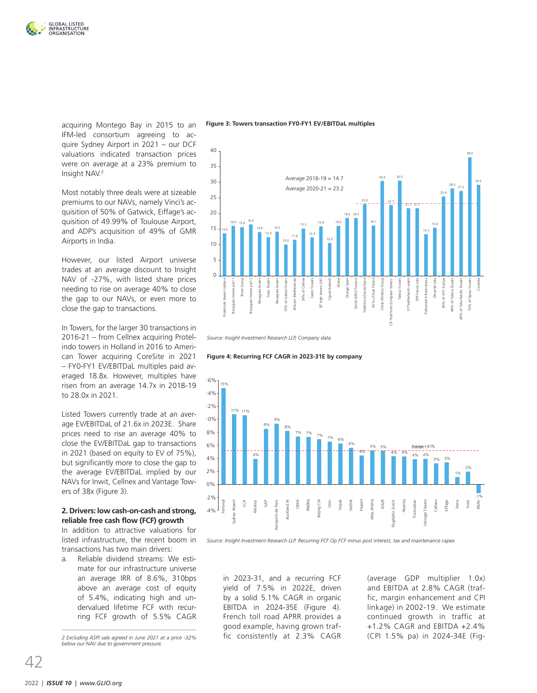

acquiring Montego Bay in 2015 to an IFM-led consortium agreeing to acquire Sydney Airport in 2021 – our DCF valuations indicated transaction prices were on average at a 23% premium to Insight NAV.2

Most notably three deals were at sizeable premiums to our NAVs, namely Vinci's acquisition of 50% of Gatwick, Eiffage's acquisition of 49.99% of Toulouse Airport, C and ADP's acquisition of 49% of GMR Airports in India.

However, our listed Airport universe trades at an average discount to Insight NAV of -27%, with listed share prices needing to rise on average 40% to close the gap to our NAVs, or even more to close the gap to transactions.

In Towers, for the larger 30 transactions in 2016-21 – from Cellnex acquiring Protelindo towers in Holland in 2016 to American Tower acquiring CoreSite in 2021 – FY0-FY1 EV/EBITDaL multiples paid averaged 18.8x. However, multiples have risen from an average 14.7x in 2018-19 to 28.0x in 2021.

Listed Towers currently trade at an average EV/EBITDaL of 21.6x in 2023E. Share prices need to rise an average 40% to C close the EV/EBITDaL gap to transactions M in 2021 (based on equity to EV of 75%), but significantly more to close the gap to the average EV/EBITDaL implied by our NAVs for Inwit, Cellnex and Vantage Tow-K ers of 38x (Figure 3).

### **2. Drivers: low cash-on-cash and strong, reliable free cash flow (FCF) growth**

In addition to attractive valuations for listed infrastructure, the recent boom in transactions has two main drivers:

a. Reliable dividend streams: We estimate for our infrastructure universe an average IRR of 8.6%, 310bps above an average cost of equity of 5.4%, indicating high and undervalued lifetime FCF with recurring FCF growth of 5.5% CAGR

*2 Excluding ASPI sale agreed in June 2021 at a price -32% below our NAV due to government pressure.*

**Figure 3: Towers transaction FY0-FY1 EV/EBITDaL multiples**



*Source: Insight Investment Research LLP, Company data.* 





*Source: Insight Investment Research LLP. Recurring FCF Op FCF minus post interest, tax and maintenance capex.* 

in 2023-31, and a recurring FCF yield of 7.5% in 2022E, driven by a solid 5.1% CAGR in organic EBITDA in 2024-35E (Figure 4). French toll road APRR provides a good example, having grown traffic consistently at 2.3% CAGR (average GDP multiplier 1.0x) and EBITDA at 2.8% CAGR (traffic, margin enhancement and CPI linkage) in 2002-19. We estimate continued growth in traffic at +1.2% CAGR and EBITDA +2.4% (CPI 1.5% pa) in 2024-34E (Fig-

 $\Delta$